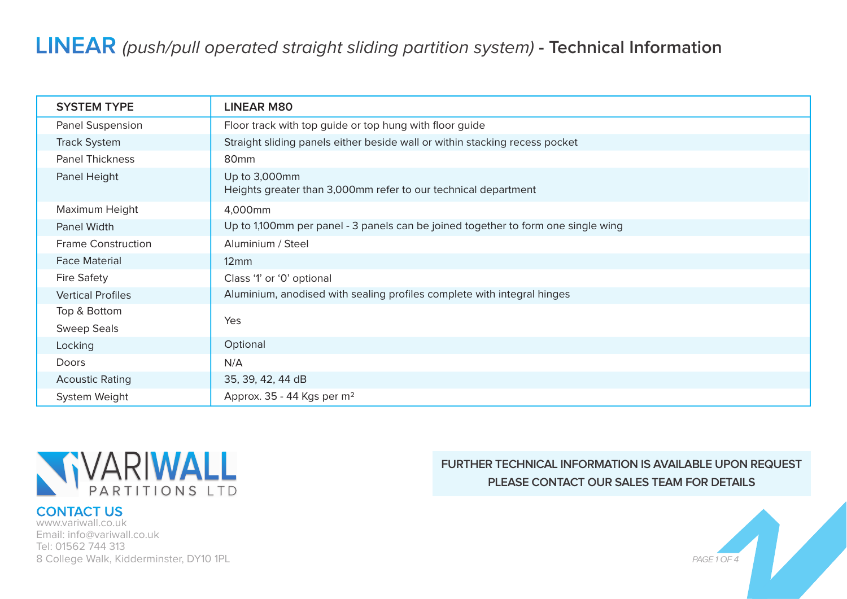## **LINEAR** (push/pull operated straight sliding partition system) **- Technical Information**

| <b>SYSTEM TYPE</b>        | <b>LINEAR M80</b>                                                                 |
|---------------------------|-----------------------------------------------------------------------------------|
| Panel Suspension          | Floor track with top guide or top hung with floor guide                           |
| <b>Track System</b>       | Straight sliding panels either beside wall or within stacking recess pocket       |
| <b>Panel Thickness</b>    | 80mm                                                                              |
| Panel Height              | Up to 3,000mm<br>Heights greater than 3,000mm refer to our technical department   |
| Maximum Height            | 4,000mm                                                                           |
| Panel Width               | Up to 1,100mm per panel - 3 panels can be joined together to form one single wing |
| <b>Frame Construction</b> | Aluminium / Steel                                                                 |
| <b>Face Material</b>      | $12 \text{mm}$                                                                    |
| <b>Fire Safety</b>        | Class '1' or '0' optional                                                         |
| <b>Vertical Profiles</b>  | Aluminium, anodised with sealing profiles complete with integral hinges           |
| Top & Bottom              | Yes                                                                               |
| <b>Sweep Seals</b>        |                                                                                   |
| Locking                   | Optional                                                                          |
| Doors                     | N/A                                                                               |
| <b>Acoustic Rating</b>    | 35, 39, 42, 44 dB                                                                 |
| System Weight             | Approx. 35 - 44 Kgs per m <sup>2</sup>                                            |



#### **CONTACT US**

www.variwall.co.uk Email: info@variwall.co.uk Tel: 01562 744 313 8 College Walk, Kidderminster, DY10 1PL

## **FURTHER TECHNICAL INFORMATION IS AVAILABLE UPON REQUEST PLEASE CONTACT OUR SALES TEAM FOR DETAILS**

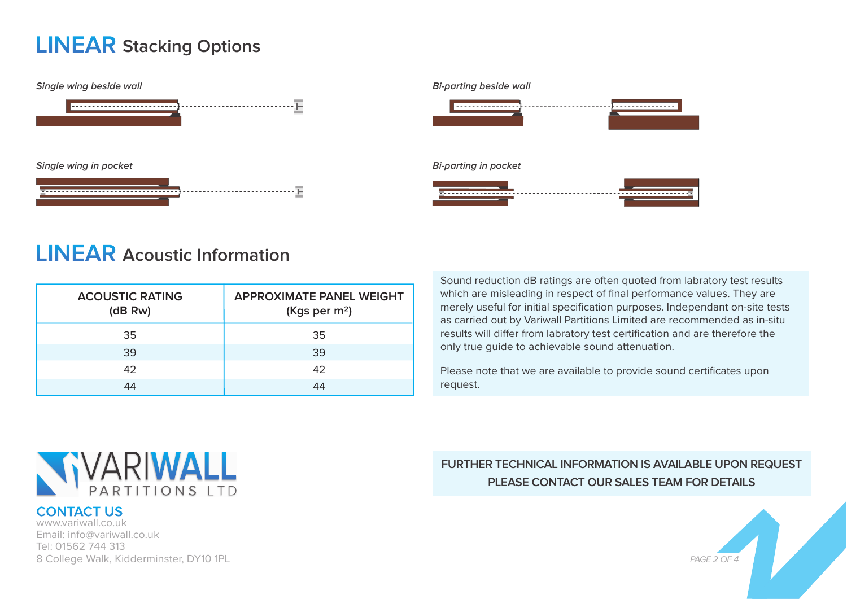## **LINEAR Stacking Options**





# <u> 1999 - 1999 - 1999 - 199</u> . <del>. . . . . . . . . . . . . . .</del>

## **LINEAR Acoustic Information**

| <b>ACOUSTIC RATING</b><br>(dB Rw) | <b>APPROXIMATE PANEL WEIGHT</b><br>(Kgs per $m^2$ ) |
|-----------------------------------|-----------------------------------------------------|
| 35                                | 35                                                  |
| 39                                | 39                                                  |
| 42                                | 42                                                  |
| 44                                | 44                                                  |

Sound reduction dB ratings are often quoted from labratory test results which are misleading in respect of final performance values. They are merely useful for initial specification purposes. Independant on-site tests as carried out by Variwall Partitions Limited are recommended as in-situ results will differ from labratory test certification and are therefore the only true guide to achievable sound attenuation.

Please note that we are available to provide sound certificates upon request.



## **CONTACT US**

www.variwall.co.uk Email: info@variwall.co.uk Tel: 01562 744 313 8 College Walk, Kidderminster, DY10 1PL

## **FURTHER TECHNICAL INFORMATION IS AVAILABLE UPON REQUEST PLEASE CONTACT OUR SALES TEAM FOR DETAILS**

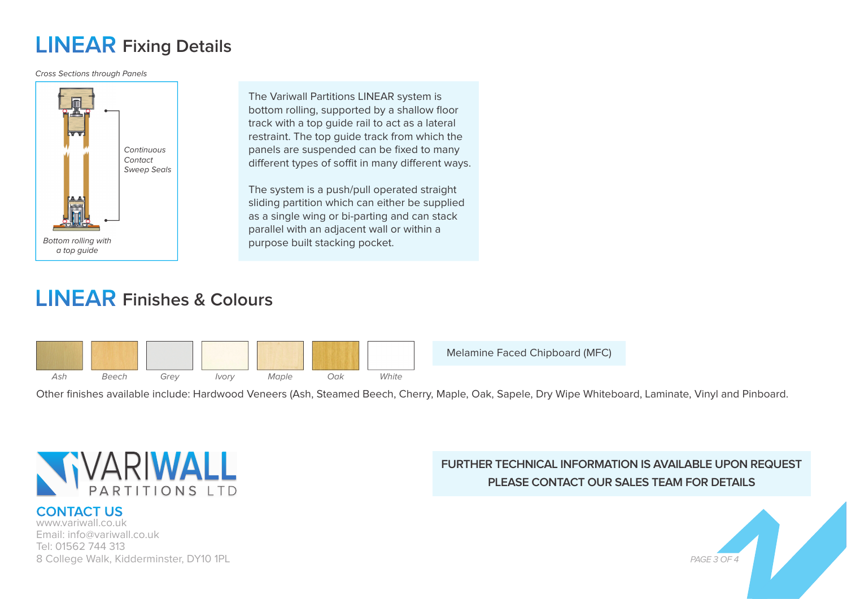# **LINEAR Fixing Details**

Cross Sections through Panels



The Variwall Partitions LINEAR system is bottom rolling, supported by a shallow floor track with a top guide rail to act as a lateral restraint. The top guide track from which the panels are suspended can be fixed to many different types of soffit in many different ways.

The system is a push/pull operated straight sliding partition which can either be supplied as a single wing or bi-parting and can stack parallel with an adjacent wall or within a purpose built stacking pocket.

# **LINEAR Finishes & Colours**



Melamine Faced Chipboard (MFC)

Other finishes available include: Hardwood Veneers (Ash, Steamed Beech, Cherry, Maple, Oak, Sapele, Dry Wipe Whiteboard, Laminate, Vinyl and Pinboard.



## **CONTACT US**

www.variwall.co.uk Email: info@variwall.co.uk Tel: 01562 744 313 8 College Walk, Kidderminster, DY10 1PL

## **FURTHER TECHNICAL INFORMATION IS AVAILABLE UPON REQUEST PLEASE CONTACT OUR SALES TEAM FOR DETAILS**